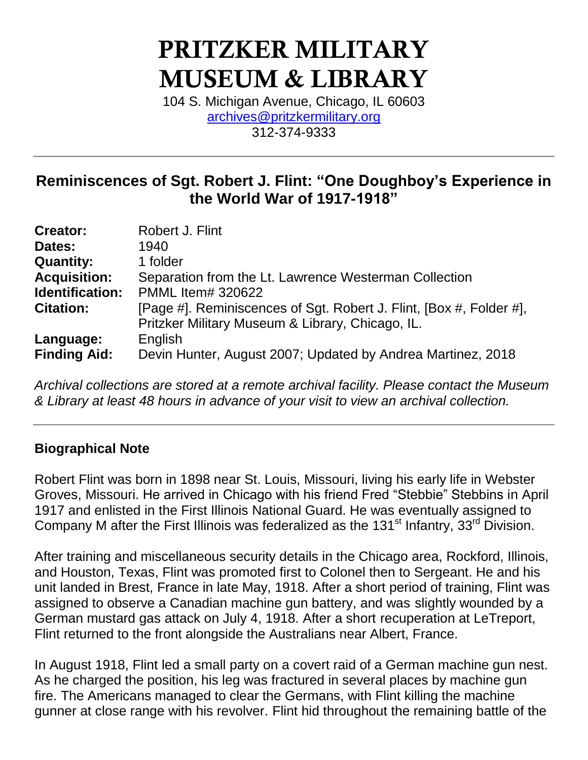# **PRITZKER MILITARY MUSEUM & LIBRARY**

104 S. Michigan Avenue, Chicago, IL 60603 [archives@pritzkermilitary.org](mailto:archives@pritzkermilitary.org) 312-374-9333

# **Reminiscences of Sgt. Robert J. Flint: "One Doughboy's Experience in the World War of 1917-1918"**

| <b>Creator:</b>     | Robert J. Flint                                                     |
|---------------------|---------------------------------------------------------------------|
| Dates:              | 1940                                                                |
| <b>Quantity:</b>    | 1 folder                                                            |
| <b>Acquisition:</b> | Separation from the Lt. Lawrence Westerman Collection               |
| Identification:     | <b>PMML Item# 320622</b>                                            |
| <b>Citation:</b>    | [Page #]. Reminiscences of Sgt. Robert J. Flint, [Box #, Folder #], |
|                     | Pritzker Military Museum & Library, Chicago, IL.                    |
| Language:           | English                                                             |
| <b>Finding Aid:</b> | Devin Hunter, August 2007; Updated by Andrea Martinez, 2018         |

*Archival collections are stored at a remote archival facility. Please contact the Museum & Library at least 48 hours in advance of your visit to view an archival collection.*

# **Biographical Note**

Robert Flint was born in 1898 near St. Louis, Missouri, living his early life in Webster Groves, Missouri. He arrived in Chicago with his friend Fred "Stebbie" Stebbins in April 1917 and enlisted in the First Illinois National Guard. He was eventually assigned to Company M after the First Illinois was federalized as the 131 $^{\text{st}}$  Infantry, 33<sup>rd</sup> Division.

After training and miscellaneous security details in the Chicago area, Rockford, Illinois, and Houston, Texas, Flint was promoted first to Colonel then to Sergeant. He and his unit landed in Brest, France in late May, 1918. After a short period of training, Flint was assigned to observe a Canadian machine gun battery, and was slightly wounded by a German mustard gas attack on July 4, 1918. After a short recuperation at LeTreport, Flint returned to the front alongside the Australians near Albert, France.

In August 1918, Flint led a small party on a covert raid of a German machine gun nest. As he charged the position, his leg was fractured in several places by machine gun fire. The Americans managed to clear the Germans, with Flint killing the machine gunner at close range with his revolver. Flint hid throughout the remaining battle of the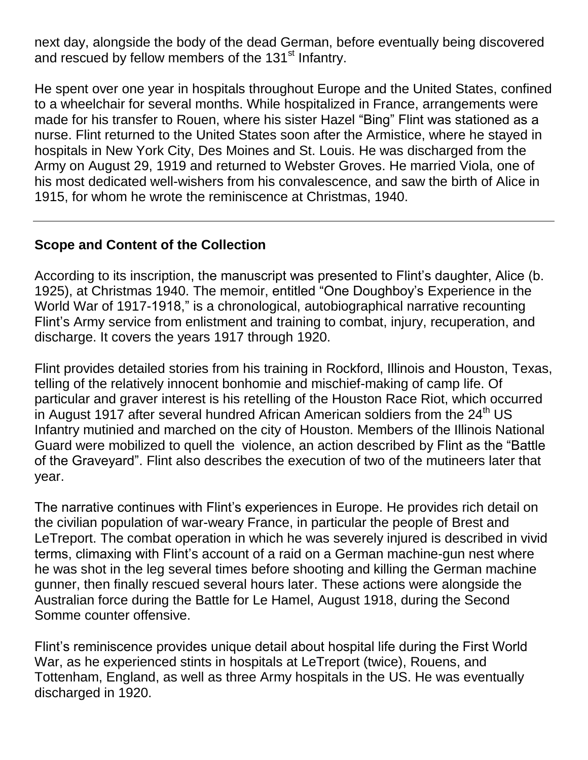next day, alongside the body of the dead German, before eventually being discovered and rescued by fellow members of the 131<sup>st</sup> Infantry.

He spent over one year in hospitals throughout Europe and the United States, confined to a wheelchair for several months. While hospitalized in France, arrangements were made for his transfer to Rouen, where his sister Hazel "Bing" Flint was stationed as a nurse. Flint returned to the United States soon after the Armistice, where he stayed in hospitals in New York City, Des Moines and St. Louis. He was discharged from the Army on August 29, 1919 and returned to Webster Groves. He married Viola, one of his most dedicated well-wishers from his convalescence, and saw the birth of Alice in 1915, for whom he wrote the reminiscence at Christmas, 1940.

# **Scope and Content of the Collection**

According to its inscription, the manuscript was presented to Flint's daughter, Alice (b. 1925), at Christmas 1940. The memoir, entitled "One Doughboy's Experience in the World War of 1917-1918," is a chronological, autobiographical narrative recounting Flint's Army service from enlistment and training to combat, injury, recuperation, and discharge. It covers the years 1917 through 1920.

Flint provides detailed stories from his training in Rockford, Illinois and Houston, Texas, telling of the relatively innocent bonhomie and mischief-making of camp life. Of particular and graver interest is his retelling of the Houston Race Riot, which occurred in August 1917 after several hundred African American soldiers from the  $24<sup>th</sup> US$ Infantry mutinied and marched on the city of Houston. Members of the Illinois National Guard were mobilized to quell the violence, an action described by Flint as the "Battle of the Graveyard". Flint also describes the execution of two of the mutineers later that year.

The narrative continues with Flint's experiences in Europe. He provides rich detail on the civilian population of war-weary France, in particular the people of Brest and LeTreport. The combat operation in which he was severely injured is described in vivid terms, climaxing with Flint's account of a raid on a German machine-gun nest where he was shot in the leg several times before shooting and killing the German machine gunner, then finally rescued several hours later. These actions were alongside the Australian force during the Battle for Le Hamel, August 1918, during the Second Somme counter offensive.

Flint's reminiscence provides unique detail about hospital life during the First World War, as he experienced stints in hospitals at LeTreport (twice), Rouens, and Tottenham, England, as well as three Army hospitals in the US. He was eventually discharged in 1920.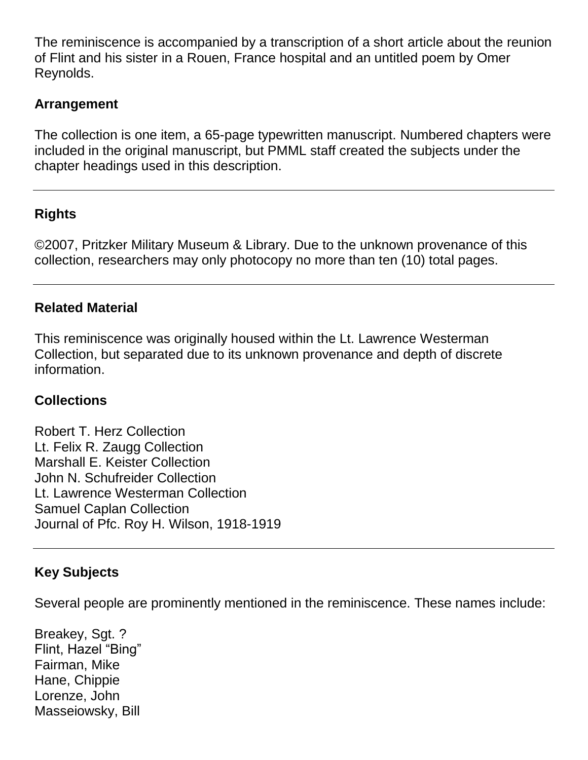The reminiscence is accompanied by a transcription of a short article about the reunion of Flint and his sister in a Rouen, France hospital and an untitled poem by Omer Reynolds.

# **Arrangement**

The collection is one item, a 65-page typewritten manuscript. Numbered chapters were included in the original manuscript, but PMML staff created the subjects under the chapter headings used in this description.

# **Rights**

©2007, Pritzker Military Museum & Library. Due to the unknown provenance of this collection, researchers may only photocopy no more than ten (10) total pages.

#### **Related Material**

This reminiscence was originally housed within the Lt. Lawrence Westerman Collection, but separated due to its unknown provenance and depth of discrete information.

# **Collections**

Robert T. Herz Collection Lt. Felix R. Zaugg Collection Marshall E. Keister Collection John N. Schufreider Collection Lt. Lawrence Westerman Collection Samuel Caplan Collection Journal of Pfc. Roy H. Wilson, 1918-1919

# **Key Subjects**

Several people are prominently mentioned in the reminiscence. These names include:

Breakey, Sgt. ? Flint, Hazel "Bing" Fairman, Mike Hane, Chippie Lorenze, John Masseiowsky, Bill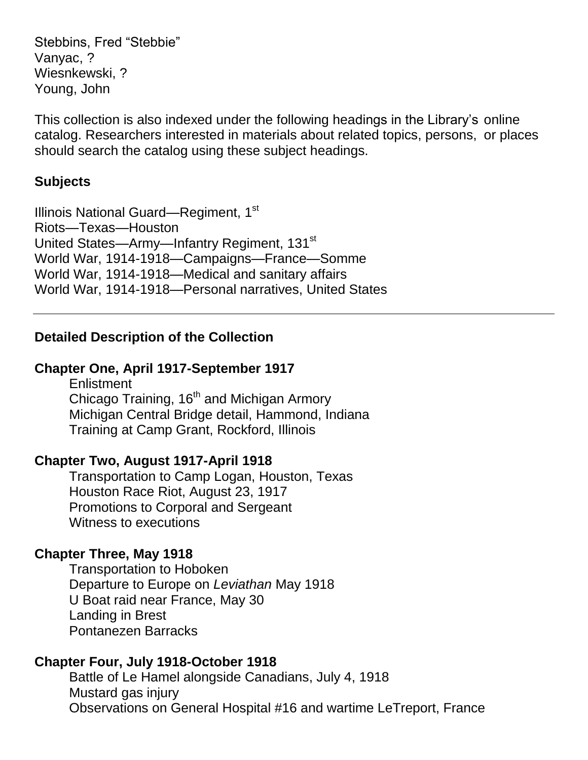Stebbins, Fred "Stebbie" Vanyac, ? Wiesnkewski, ? Young, John

This collection is also indexed under the following headings in the Library's online catalog. Researchers interested in materials about related topics, persons, or places should search the catalog using these subject headings.

#### **Subjects**

Illinois National Guard—Regiment, 1<sup>st</sup> Riots—Texas—Houston United States—Army—Infantry Regiment, 131<sup>st</sup> World War, 1914-1918—Campaigns—France—Somme World War, 1914-1918—Medical and sanitary affairs World War, 1914-1918—Personal narratives, United States

# **Detailed Description of the Collection**

# **Chapter One, April 1917-September 1917**

**Enlistment** Chicago Training, 16<sup>th</sup> and Michigan Armory Michigan Central Bridge detail, Hammond, Indiana Training at Camp Grant, Rockford, Illinois

# **Chapter Two, August 1917-April 1918**

Transportation to Camp Logan, Houston, Texas Houston Race Riot, August 23, 1917 Promotions to Corporal and Sergeant Witness to executions

# **Chapter Three, May 1918**

Transportation to Hoboken Departure to Europe on *Leviathan* May 1918 U Boat raid near France, May 30 Landing in Brest Pontanezen Barracks

# **Chapter Four, July 1918-October 1918**

Battle of Le Hamel alongside Canadians, July 4, 1918 Mustard gas injury Observations on General Hospital #16 and wartime LeTreport, France